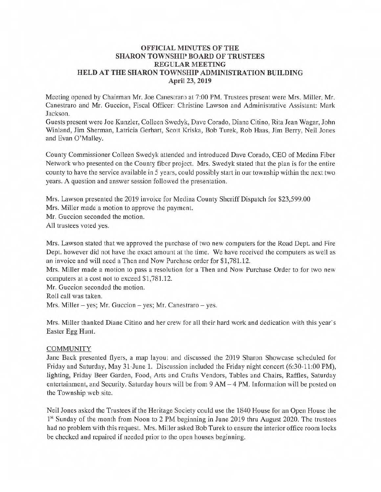## **OFFICIAL MINUTES OF THE SHARON TOWNSHIP BOARD OF TRUSTEES REGULAR MEETING HELD AT THE SHARON TOWNSHIP ADMINISTRATION BUILDING April 23, 2019**

Meeting opened by Chairman Mr. Joe Canestraro at 7:00 PM. Trustees present were Mrs. Miller, Mr. Canestraro and Mr. Guccion, Fiscal Officer: Christine Lawson and Administrative Assistant: Mark Jackson.

Guests present were Joe Kunzler, Colleen Swedyk, Dave Corado, Diane Citino, Rita Jean Wagar, John Winland, Jim Sherman, Latricia Gerhart, Scott Kriska, Bob Turek, Rob Haas, Jim Berry, Neil Jones and Evan O'Malley.

County Commissioner Colleen Swedyk attended and introduced Dave Corado, CEO of Medina Fiber Network who presented on the County fiber project. Mrs. Swedyk stated that the plan is for the entire county to have the service available in *5* years, could possibly start in our township within the next two years. A question and answer session followed the presentation.

Mrs. Lawson presented the 2019 invoice for Medina County Sheriff Dispatch for \$23,599.00 Mrs. Miller made a motion to approve the payment.

Mr. Guccion seconded the motion.

All trustees voted yes.

Mrs. Lawson stated that we approved the purchase of two new computers for the Road Dept. and Fire Dept. however did not have the exact amount at the time. We have received the computers as well as an invoice and will need a Then and Now Purchase order for \$1,781.12.

Mrs. Miller made a motion to pass a resolution for a Then and Now Purchase Order to for two new computers at a cost not to exceed \$1,781.12.

Mr. Guccion seconded the motion.

Roll call was taken.

Mrs. Miller  $-$  yes; Mr. Guccion  $-$  yes; Mr. Canestraro  $-$  yes.

Mrs. Miller thanked Diane Citino and her crew for all their hard work and dedication with this year's Easter Egg Hunt.

# **COMMUNITY**

Jane Back presented flyers, a map layout and discussed the 2019 Sharon Showcase scheduled for Friday and Saturday, May 31-June 1. Discussion included the Friday night concert (6:30-11:00 PM), lighting, Friday Beer Garden, Food, Arts and Crafts Vendors, Tables and Chairs, Raffles, Saturday entertainment, and Security. Saturday hours will be from 9 AM – 4 PM. Information will be posted on the Township web site.

Neil Jones asked the Trustees if the Heritage Society could use the 1840 House for an Open House the <sup>1st</sup> Sunday of the month from Noon to 2 PM beginning in June 2019 thru August 2020. The trustees had no problem with this request. Mrs. Miller asked Bob Turek to ensure the interior office room locks be checked and repaired if needed prior to the open houses beginning.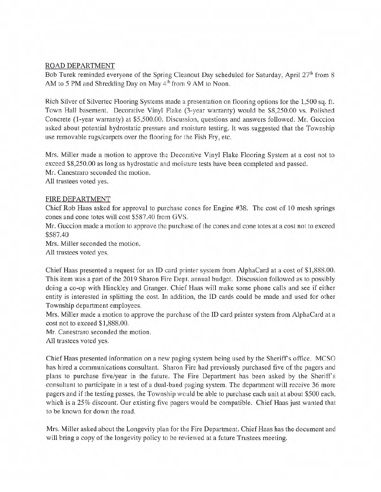## ROAD DEPARTMENT

Bob Turek reminded everyone of the Spring Cleanout Day scheduled for Saturday, April 27<sup>th</sup> from 8 AM to 5 PM and Shredding Day on May  $4<sup>th</sup>$  from 9 AM to Noon.

Rich Silver of Silvertec Flooring Systems made a presentation on flooring options for the 1,500 sq. ft. Town Hall basement. Decorative Vinyl Flake (3-year warranty) would be \$8,250.00 vs. Polished Concrete (1-year warranty) at \$5,500.00. Discussion, questions and answers followed. Mr. Guccion asked about potential hydrostatic pressure and moisture testing. It was suggested that the Township use removable rugs/carpets over the flooring for the Fish Fry, etc.

Mrs. Miller made a motion to approve the Decorative Vinyl Flake Flooring System at a cost not to exceed \$8,250.00 as long as hydrostatic and moisture tests have been completed and passed. Mr. Canestraro seconded the motion.

All trustees voted yes.

### FIRE DEPARTMENT

Chief Rob Haas asked for approval to purchase cones for Engine #38. The cost of 10 mesh springs cones and cone totes will cost \$587.40 from GVS.

Mr. Guccion made a motion to approve the purchase of the cones and cone totes at a cost not to exceed \$587.40

Mrs. Miller seconded the motion.

All trustees voted yes.

Chief Haas presented a request for an ID card printer system from AiphaCard at a cost of \$1,888.00. This item was a part of the 2019 Sharon Fire Dept. annual budget. Discussion followed as to possibly doing a co-op with Hinckley and Granger. Chief Haas will make some phone calls and see if either entity is interested in splitting the cost. In addition, the ID cards could be made and used for other Township department employees.

Mrs. Miller made a motion to approve the purchase of the ID card printer system from AiphaCard at a cost not to exceed \$1,888.00.

Mr. Canestraro seconded the motion.

All trustees voted yes.

Chief Haas presented information on a new paging system being used by the Sheriffs office. MCSO has hired a communications consultant. Sharon Fire had previously purchased five of the pagers and plans to purchase five/year in the future. The Fire Department has been asked by the Sheriffs consultant to participate in a test of a dual-band paging system. The department will receive 36 more pagers and if the testing passes, the Township would be able to purchase each unit at about \$500 each, which is a 25% discount. Our existing five pagers would be compatible. Chief Haas just wanted that to be known for down the road.

Mrs. Miller asked about the Longevity plan for the Fire Department. Chief Haas has the document and will bring a copy of the longevity policy to be reviewed at a future Trustees meeting.